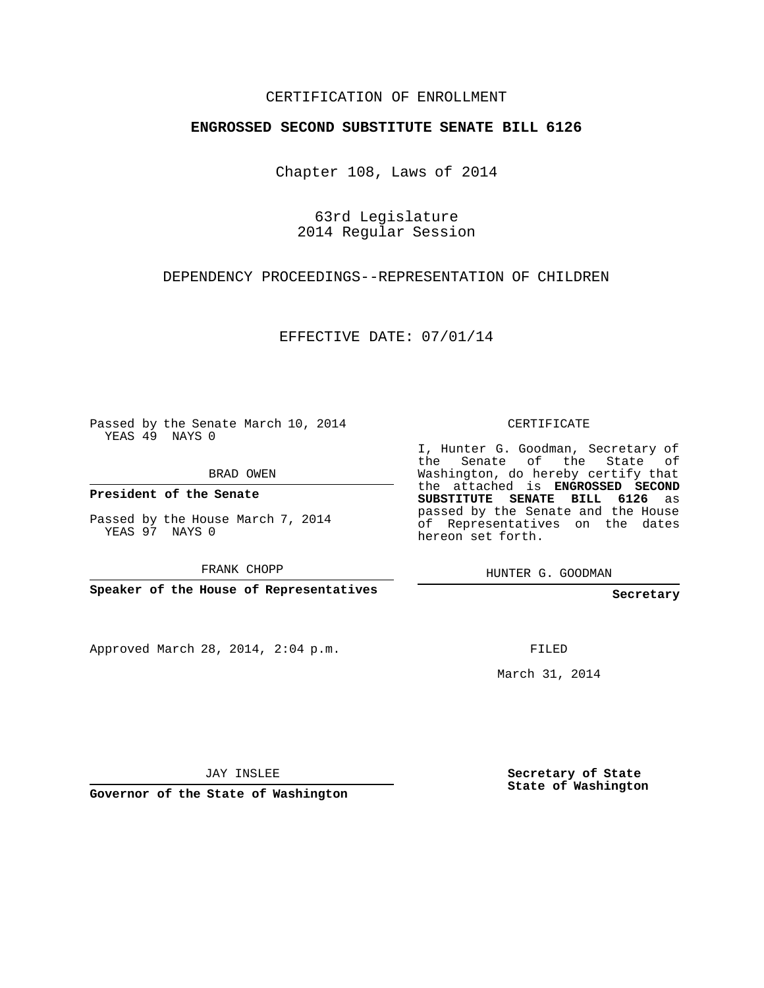## CERTIFICATION OF ENROLLMENT

#### **ENGROSSED SECOND SUBSTITUTE SENATE BILL 6126**

Chapter 108, Laws of 2014

63rd Legislature 2014 Regular Session

### DEPENDENCY PROCEEDINGS--REPRESENTATION OF CHILDREN

EFFECTIVE DATE: 07/01/14

Passed by the Senate March 10, 2014 YEAS 49 NAYS 0

BRAD OWEN

**President of the Senate**

Passed by the House March 7, 2014 YEAS 97 NAYS 0

FRANK CHOPP

**Speaker of the House of Representatives**

Approved March 28, 2014, 2:04 p.m.

CERTIFICATE

I, Hunter G. Goodman, Secretary of the Senate of the State of Washington, do hereby certify that the attached is **ENGROSSED SECOND SUBSTITUTE SENATE BILL 6126** as passed by the Senate and the House of Representatives on the dates hereon set forth.

HUNTER G. GOODMAN

**Secretary**

FILED

March 31, 2014

JAY INSLEE

**Governor of the State of Washington**

**Secretary of State State of Washington**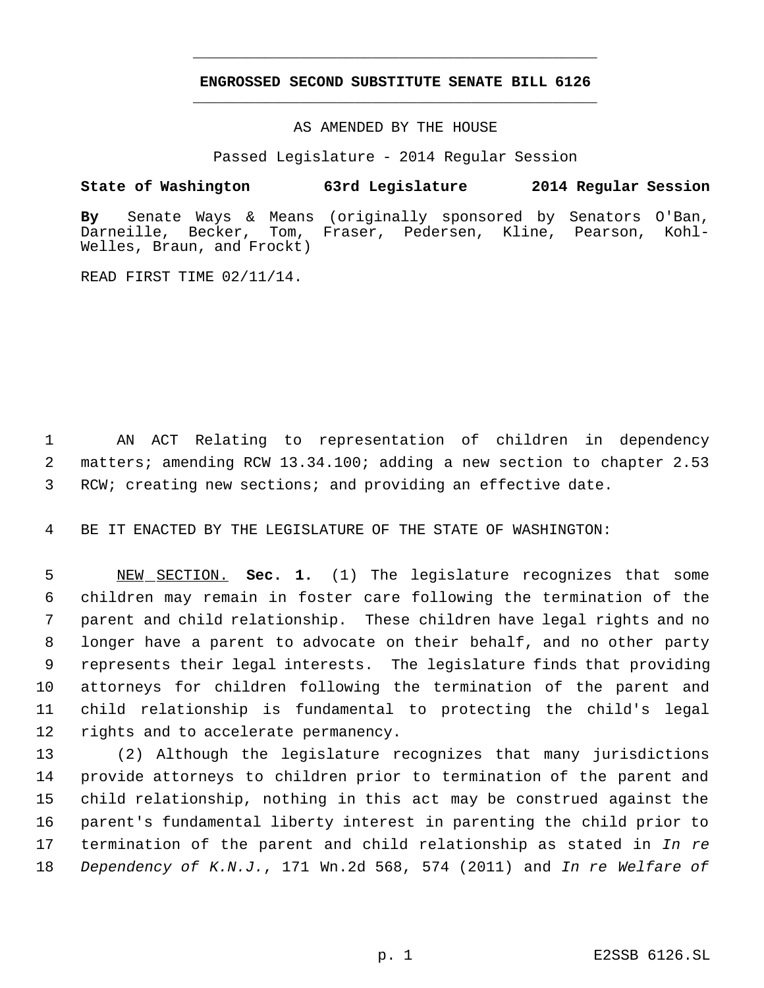# **ENGROSSED SECOND SUBSTITUTE SENATE BILL 6126** \_\_\_\_\_\_\_\_\_\_\_\_\_\_\_\_\_\_\_\_\_\_\_\_\_\_\_\_\_\_\_\_\_\_\_\_\_\_\_\_\_\_\_\_\_

\_\_\_\_\_\_\_\_\_\_\_\_\_\_\_\_\_\_\_\_\_\_\_\_\_\_\_\_\_\_\_\_\_\_\_\_\_\_\_\_\_\_\_\_\_

AS AMENDED BY THE HOUSE

Passed Legislature - 2014 Regular Session

### **State of Washington 63rd Legislature 2014 Regular Session**

**By** Senate Ways & Means (originally sponsored by Senators O'Ban, Darneille, Becker, Tom, Fraser, Pedersen, Kline, Pearson, Kohl-Welles, Braun, and Frockt)

READ FIRST TIME 02/11/14.

 AN ACT Relating to representation of children in dependency matters; amending RCW 13.34.100; adding a new section to chapter 2.53 RCW; creating new sections; and providing an effective date.

BE IT ENACTED BY THE LEGISLATURE OF THE STATE OF WASHINGTON:

 NEW SECTION. **Sec. 1.** (1) The legislature recognizes that some children may remain in foster care following the termination of the parent and child relationship. These children have legal rights and no longer have a parent to advocate on their behalf, and no other party represents their legal interests. The legislature finds that providing attorneys for children following the termination of the parent and child relationship is fundamental to protecting the child's legal rights and to accelerate permanency.

 (2) Although the legislature recognizes that many jurisdictions provide attorneys to children prior to termination of the parent and child relationship, nothing in this act may be construed against the parent's fundamental liberty interest in parenting the child prior to termination of the parent and child relationship as stated in *In re Dependency of K.N.J.*, 171 Wn.2d 568, 574 (2011) and *In re Welfare of*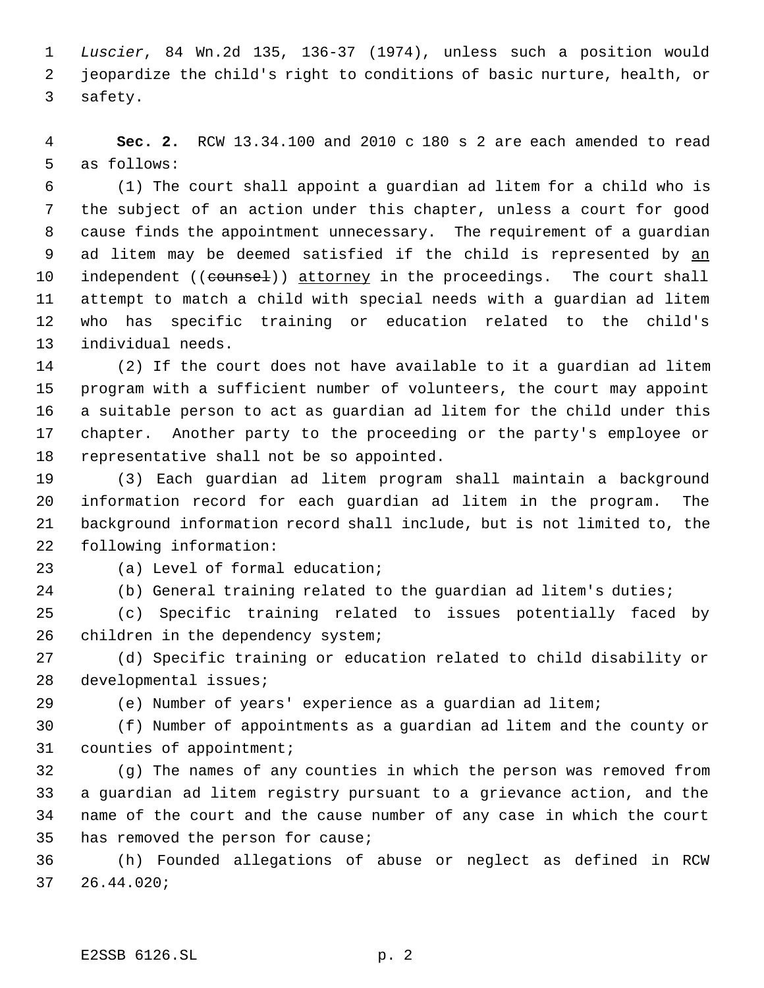*Luscier*, 84 Wn.2d 135, 136-37 (1974), unless such a position would jeopardize the child's right to conditions of basic nurture, health, or safety.

 **Sec. 2.** RCW 13.34.100 and 2010 c 180 s 2 are each amended to read as follows:

 (1) The court shall appoint a guardian ad litem for a child who is the subject of an action under this chapter, unless a court for good cause finds the appointment unnecessary. The requirement of a guardian ad litem may be deemed satisfied if the child is represented by an 10 independent ((counsel)) attorney in the proceedings. The court shall attempt to match a child with special needs with a guardian ad litem who has specific training or education related to the child's individual needs.

 (2) If the court does not have available to it a guardian ad litem program with a sufficient number of volunteers, the court may appoint a suitable person to act as guardian ad litem for the child under this chapter. Another party to the proceeding or the party's employee or representative shall not be so appointed.

 (3) Each guardian ad litem program shall maintain a background information record for each guardian ad litem in the program. The background information record shall include, but is not limited to, the following information:

(a) Level of formal education;

(b) General training related to the guardian ad litem's duties;

 (c) Specific training related to issues potentially faced by 26 children in the dependency system;

 (d) Specific training or education related to child disability or developmental issues;

(e) Number of years' experience as a guardian ad litem;

 (f) Number of appointments as a guardian ad litem and the county or counties of appointment;

 (g) The names of any counties in which the person was removed from a guardian ad litem registry pursuant to a grievance action, and the name of the court and the cause number of any case in which the court has removed the person for cause;

 (h) Founded allegations of abuse or neglect as defined in RCW 26.44.020;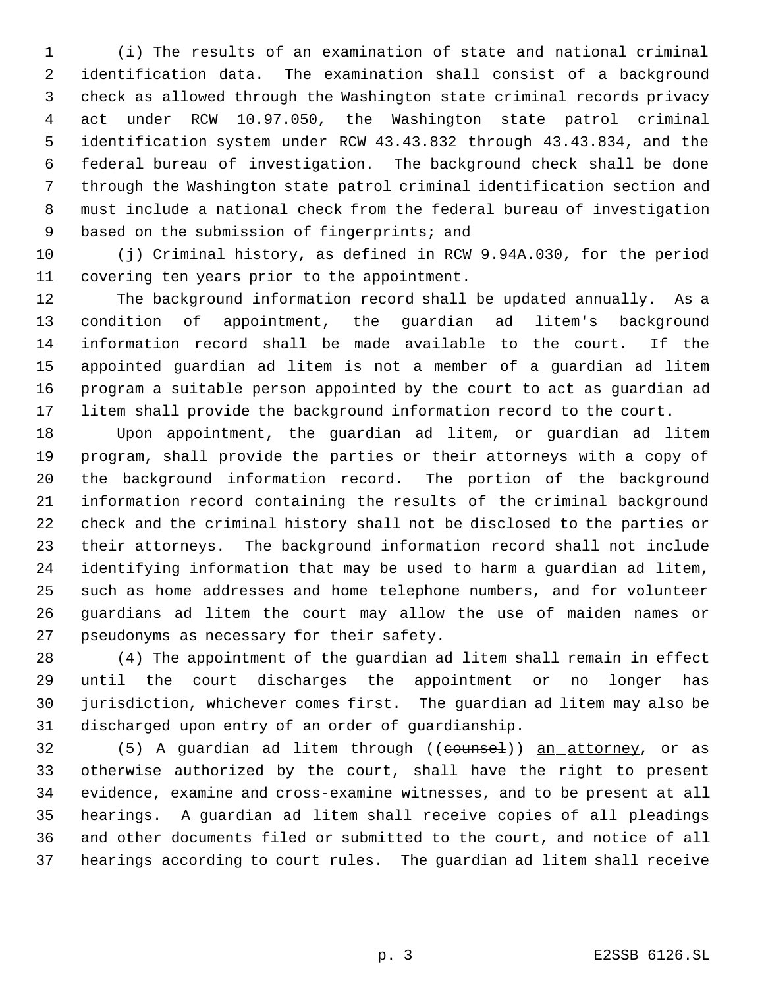(i) The results of an examination of state and national criminal identification data. The examination shall consist of a background check as allowed through the Washington state criminal records privacy act under RCW 10.97.050, the Washington state patrol criminal identification system under RCW 43.43.832 through 43.43.834, and the federal bureau of investigation. The background check shall be done through the Washington state patrol criminal identification section and must include a national check from the federal bureau of investigation 9 based on the submission of fingerprints; and

 (j) Criminal history, as defined in RCW 9.94A.030, for the period covering ten years prior to the appointment.

 The background information record shall be updated annually. As a condition of appointment, the guardian ad litem's background information record shall be made available to the court. If the appointed guardian ad litem is not a member of a guardian ad litem program a suitable person appointed by the court to act as guardian ad litem shall provide the background information record to the court.

 Upon appointment, the guardian ad litem, or guardian ad litem program, shall provide the parties or their attorneys with a copy of the background information record. The portion of the background information record containing the results of the criminal background check and the criminal history shall not be disclosed to the parties or their attorneys. The background information record shall not include identifying information that may be used to harm a guardian ad litem, such as home addresses and home telephone numbers, and for volunteer guardians ad litem the court may allow the use of maiden names or pseudonyms as necessary for their safety.

 (4) The appointment of the guardian ad litem shall remain in effect until the court discharges the appointment or no longer has jurisdiction, whichever comes first. The guardian ad litem may also be discharged upon entry of an order of guardianship.

32 (5) A quardian ad litem through ((counsel)) an attorney, or as otherwise authorized by the court, shall have the right to present evidence, examine and cross-examine witnesses, and to be present at all hearings. A guardian ad litem shall receive copies of all pleadings and other documents filed or submitted to the court, and notice of all hearings according to court rules. The guardian ad litem shall receive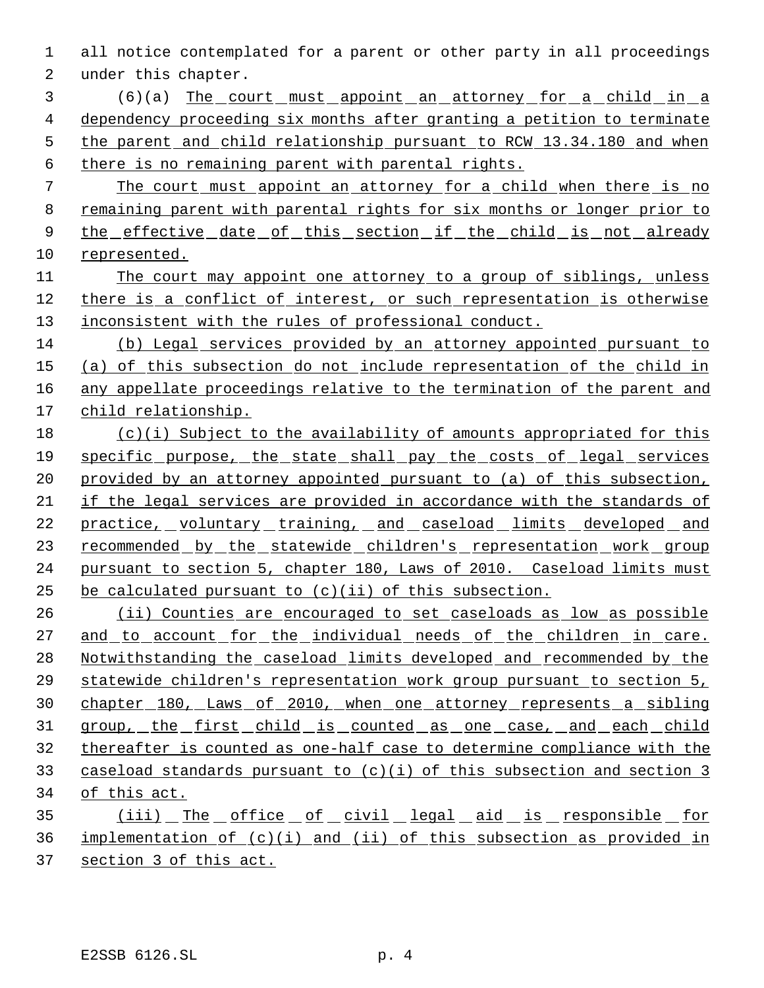all notice contemplated for a parent or other party in all proceedings under this chapter.

 (6)(a) The court must appoint an attorney for a child in a dependency proceeding six months after granting a petition to terminate the parent and child relationship pursuant to RCW 13.34.180 and when there is no remaining parent with parental rights.

 The court must appoint an attorney for a child when there is no remaining parent with parental rights for six months or longer prior to 9 the effective date of this section if the child is not already represented.

 The court may appoint one attorney to a group of siblings, unless there is a conflict of interest, or such representation is otherwise 13 inconsistent with the rules of professional conduct.

 (b) Legal services provided by an attorney appointed pursuant to (a) of this subsection do not include representation of the child in any appellate proceedings relative to the termination of the parent and child relationship.

 (c)(i) Subject to the availability of amounts appropriated for this specific purpose, the state shall pay the costs of legal services 20 provided by an attorney appointed pursuant to (a) of this subsection, if the legal services are provided in accordance with the standards of 22 practice, voluntary training, and caseload limits developed and 23 recommended by the statewide children's representation work group pursuant to section 5, chapter 180, Laws of 2010. Caseload limits must 25 be calculated pursuant to  $(c)(ii)$  of this subsection.

 (ii) Counties are encouraged to set caseloads as low as possible 27 and to account for the individual needs of the children in care. Notwithstanding the caseload limits developed and recommended by the statewide children's representation work group pursuant to section 5, chapter 180, Laws of 2010, when one attorney represents a sibling 31 group, the first child is counted as one case, and each child thereafter is counted as one-half case to determine compliance with the caseload standards pursuant to (c)(i) of this subsection and section 3 of this act.

35 (iii) The office of civil legal aid is responsible for implementation of (c)(i) and (ii) of this subsection as provided in section 3 of this act.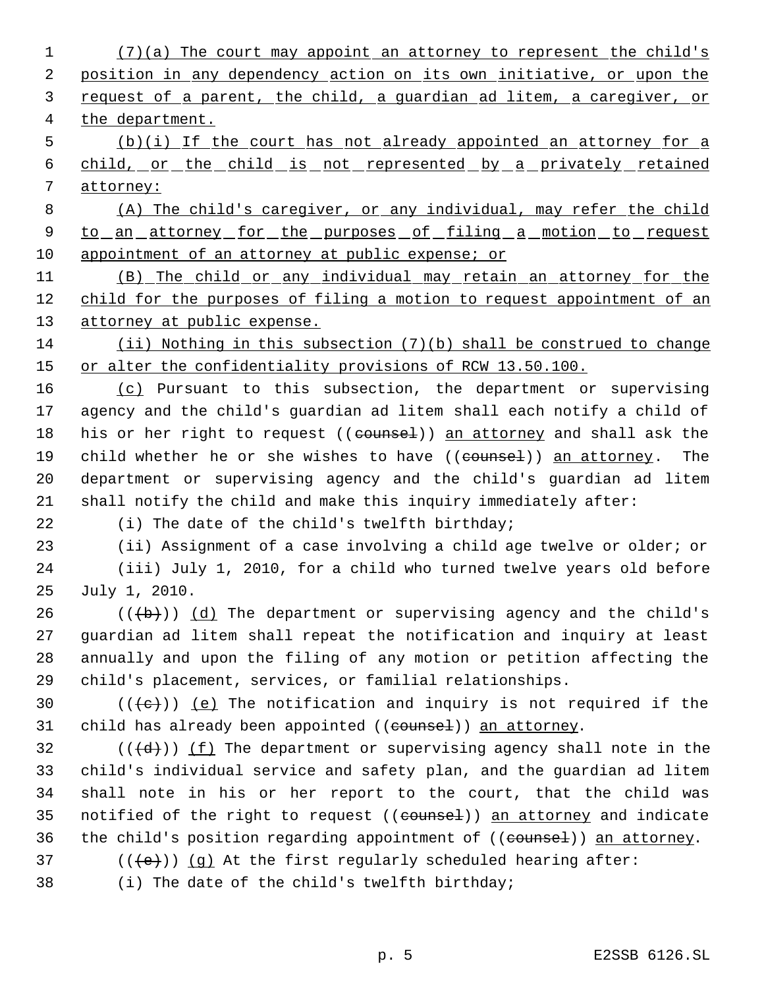1 (7)(a) The court may appoint an attorney to represent the child's 2 position in any dependency action on its own initiative, or upon the request of a parent, the child, a guardian ad litem, a caregiver, or the department. (b)(i) If the court has not already appointed an attorney for a child, or the child is not represented by a privately retained 7 attorney: (A) The child's caregiver, or any individual, may refer the child 9 to an attorney for the purposes of filing a motion to request appointment of an attorney at public expense; or (B) The child or any individual may retain an attorney for the child for the purposes of filing a motion to request appointment of an 13 attorney at public expense. (ii) Nothing in this subsection (7)(b) shall be construed to change 15 or alter the confidentiality provisions of RCW 13.50.100. (c) Pursuant to this subsection, the department or supervising agency and the child's guardian ad litem shall each notify a child of 18 his or her right to request ((counsel)) an attorney and shall ask the 19 child whether he or she wishes to have ((counsel)) an attorney. The department or supervising agency and the child's guardian ad litem shall notify the child and make this inquiry immediately after: (i) The date of the child's twelfth birthday; (ii) Assignment of a case involving a child age twelve or older; or (iii) July 1, 2010, for a child who turned twelve years old before July 1, 2010. 26 ( $(\overline{a})$ ) (d) The department or supervising agency and the child's guardian ad litem shall repeat the notification and inquiry at least annually and upon the filing of any motion or petition affecting the child's placement, services, or familial relationships.  $((+e))$  (e) The notification and inquiry is not required if the 31 child has already been appointed ((counsel)) an attorney. 32 ( $(\overline{d})$ ) (f) The department or supervising agency shall note in the child's individual service and safety plan, and the guardian ad litem shall note in his or her report to the court, that the child was 35 notified of the right to request ((counsel)) an attorney and indicate 36 the child's position regarding appointment of ((counsel)) an attorney. 37 ( $(\overline{\text{(e)}})$ ) (g) At the first regularly scheduled hearing after: (i) The date of the child's twelfth birthday;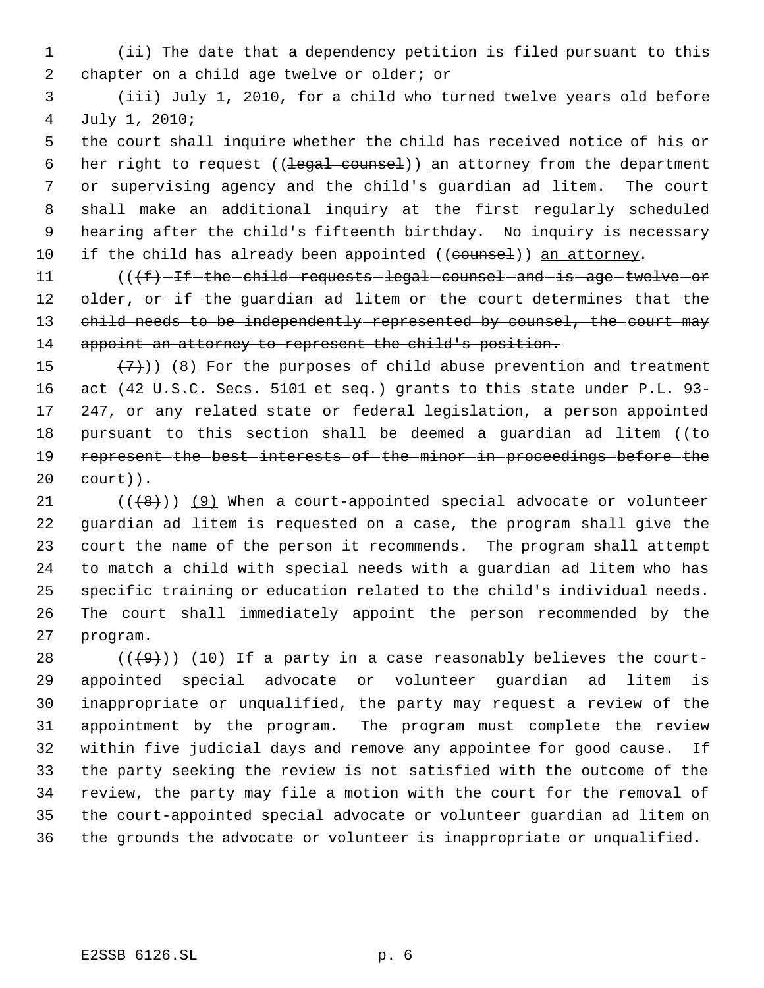- (ii) The date that a dependency petition is filed pursuant to this 2 chapter on a child age twelve or older; or
- (iii) July 1, 2010, for a child who turned twelve years old before July 1, 2010;

 the court shall inquire whether the child has received notice of his or 6 her right to request ((legal counsel)) an attorney from the department or supervising agency and the child's guardian ad litem. The court shall make an additional inquiry at the first regularly scheduled hearing after the child's fifteenth birthday. No inquiry is necessary 10 if the child has already been appointed ((counsel)) an attorney.

11 (((f) -if -the -child requests legal counsel and is age twelve or 12 older, or if the guardian ad litem or the court determines that the 13 child needs to be independently represented by counsel, the court may appoint an attorney to represent the child's position.

 $(7)$ ) (8) For the purposes of child abuse prevention and treatment act (42 U.S.C. Secs. 5101 et seq.) grants to this state under P.L. 93- 247, or any related state or federal legislation, a person appointed 18 pursuant to this section shall be deemed a guardian ad litem ( $\epsilon$  represent the best interests of the minor in proceedings before the court)).

 $((\{8\})$  (9) When a court-appointed special advocate or volunteer guardian ad litem is requested on a case, the program shall give the court the name of the person it recommends. The program shall attempt to match a child with special needs with a guardian ad litem who has specific training or education related to the child's individual needs. The court shall immediately appoint the person recommended by the program.

 $((+9))$  (10) If a party in a case reasonably believes the court- appointed special advocate or volunteer guardian ad litem is inappropriate or unqualified, the party may request a review of the appointment by the program. The program must complete the review within five judicial days and remove any appointee for good cause. If the party seeking the review is not satisfied with the outcome of the review, the party may file a motion with the court for the removal of the court-appointed special advocate or volunteer guardian ad litem on the grounds the advocate or volunteer is inappropriate or unqualified.